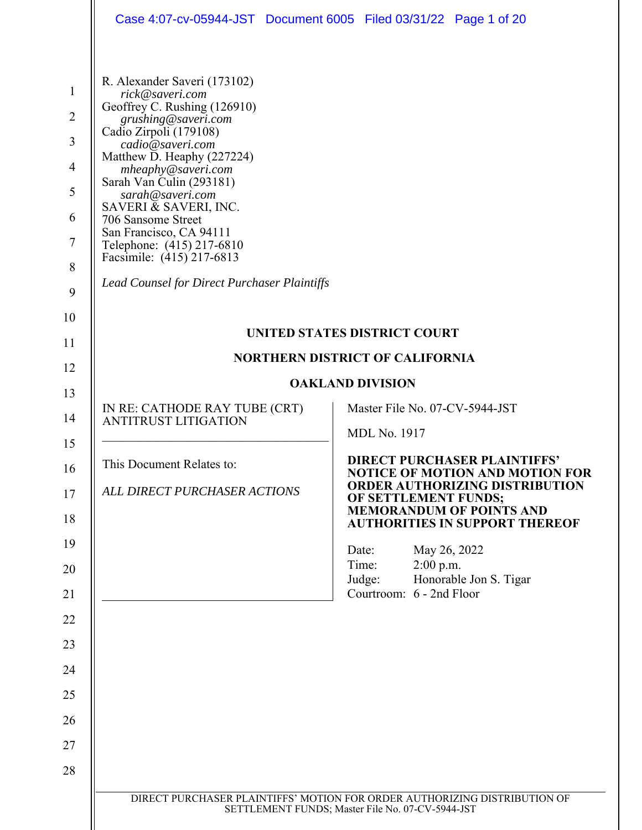| Case 4:07-cv-05944-JST Document 6005 Filed 03/31/22 Page 1 of 20                                                                                                                                                                                                                                                                                                                                                                                    |                                                                                                                                                                                                                            |
|-----------------------------------------------------------------------------------------------------------------------------------------------------------------------------------------------------------------------------------------------------------------------------------------------------------------------------------------------------------------------------------------------------------------------------------------------------|----------------------------------------------------------------------------------------------------------------------------------------------------------------------------------------------------------------------------|
| R. Alexander Saveri (173102)<br>rick@saveri.com<br>Geoffrey C. Rushing (126910)<br>grushing@saveri.com<br>Cadio Zirpoli (179108)<br>cadio@saveri.com<br>Matthew D. Heaphy (227224)<br>mheaphy@saveri.com<br>Sarah Van Culin (293181)<br>sarah@saveri.com<br>SAVERI & SAVERI, INC.<br>706 Sansome Street<br>San Francisco, CA 94111<br>Telephone: (415) 217-6810<br>Facsimile: (415) 217-6813<br><b>Lead Counsel for Direct Purchaser Plaintiffs</b> |                                                                                                                                                                                                                            |
|                                                                                                                                                                                                                                                                                                                                                                                                                                                     | UNITED STATES DISTRICT COURT                                                                                                                                                                                               |
|                                                                                                                                                                                                                                                                                                                                                                                                                                                     | <b>NORTHERN DISTRICT OF CALIFORNIA</b>                                                                                                                                                                                     |
| <b>OAKLAND DIVISION</b>                                                                                                                                                                                                                                                                                                                                                                                                                             |                                                                                                                                                                                                                            |
| IN RE: CATHODE RAY TUBE (CRT)<br>ANTITRUST LITIGATION                                                                                                                                                                                                                                                                                                                                                                                               | Master File No. 07-CV-5944-JST<br><b>MDL No. 1917</b>                                                                                                                                                                      |
| This Document Relates to:<br>ALL DIRECT PURCHASER ACTIONS                                                                                                                                                                                                                                                                                                                                                                                           | <b>DIRECT PURCHASER PLAINTIFFS'</b><br><b>NOTICE OF MOTION AND MOTION FOR</b><br><b>ORDER AUTHORIZING DISTRIBUTION</b><br>OF SETTLEMENT FUNDS;<br><b>MEMORANDUM OF POINTS AND</b><br><b>AUTHORITIES IN SUPPORT THEREOF</b> |
|                                                                                                                                                                                                                                                                                                                                                                                                                                                     | May 26, 2022<br>Date:<br>$2:00$ p.m.<br>Time:<br>Honorable Jon S. Tigar<br>Judge:<br>Courtroom: 6 - 2nd Floor                                                                                                              |
|                                                                                                                                                                                                                                                                                                                                                                                                                                                     |                                                                                                                                                                                                                            |
|                                                                                                                                                                                                                                                                                                                                                                                                                                                     |                                                                                                                                                                                                                            |
|                                                                                                                                                                                                                                                                                                                                                                                                                                                     |                                                                                                                                                                                                                            |
|                                                                                                                                                                                                                                                                                                                                                                                                                                                     |                                                                                                                                                                                                                            |
|                                                                                                                                                                                                                                                                                                                                                                                                                                                     |                                                                                                                                                                                                                            |
|                                                                                                                                                                                                                                                                                                                                                                                                                                                     |                                                                                                                                                                                                                            |
|                                                                                                                                                                                                                                                                                                                                                                                                                                                     |                                                                                                                                                                                                                            |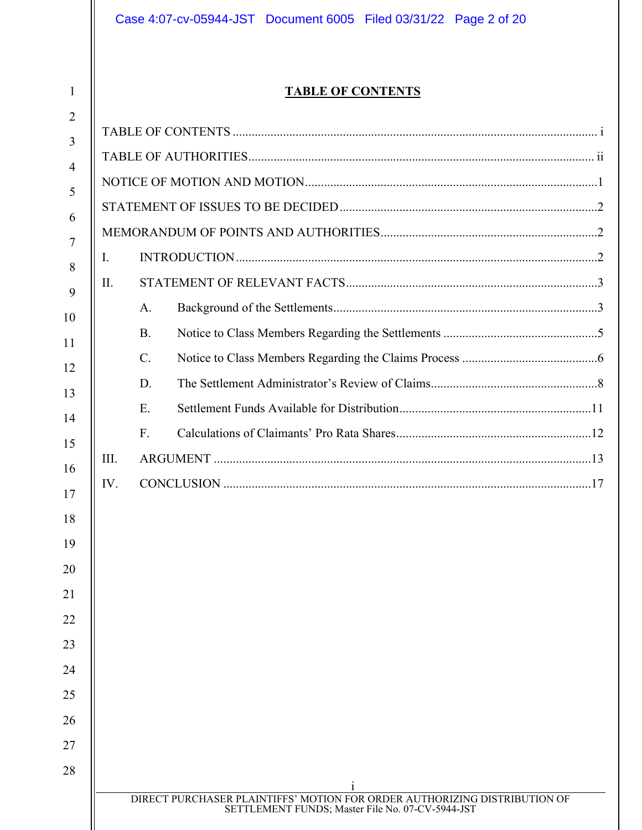# **TABLE OF CONTENTS**

| $\overline{2}$ |      |           |                                                                           |  |
|----------------|------|-----------|---------------------------------------------------------------------------|--|
| 3              |      |           |                                                                           |  |
| $\overline{4}$ |      |           |                                                                           |  |
| 5              |      |           |                                                                           |  |
| 6              |      |           |                                                                           |  |
| $\tau$         |      |           |                                                                           |  |
| 8              | Ι.   |           |                                                                           |  |
| 9              | II.  |           |                                                                           |  |
| 10             |      | A.        |                                                                           |  |
| 11             |      | <b>B.</b> |                                                                           |  |
| 12             |      | C.        |                                                                           |  |
| 13             |      | D.        |                                                                           |  |
| 14             |      | E.        |                                                                           |  |
| 15             |      | F.        |                                                                           |  |
| 16             | III. |           |                                                                           |  |
| 17             | IV.  |           |                                                                           |  |
| 18             |      |           |                                                                           |  |
| 19             |      |           |                                                                           |  |
| 20             |      |           |                                                                           |  |
| 21             |      |           |                                                                           |  |
| 22             |      |           |                                                                           |  |
| 23             |      |           |                                                                           |  |
| 24             |      |           |                                                                           |  |
| 25             |      |           |                                                                           |  |
| 26             |      |           |                                                                           |  |
| 27             |      |           |                                                                           |  |
| 28             |      |           |                                                                           |  |
|                |      |           | DIRECT PURCHASER PLAINTIFFS' MOTION FOR ORDER AUTHORIZING DISTRIBUTION OF |  |
|                |      |           | SETTLEMENT FUNDS; Master File No. 07-CV-5944-JST                          |  |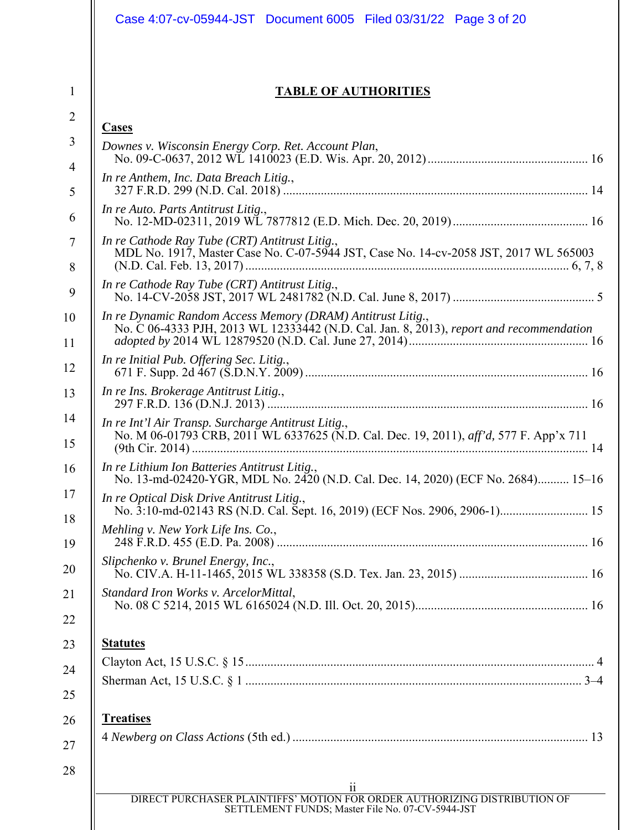| Case 4:07-cv-05944-JST Document 6005 Filed 03/31/22 Page 3 of 20                                                                              |
|-----------------------------------------------------------------------------------------------------------------------------------------------|
| <b>TABLE OF AUTHORITIES</b>                                                                                                                   |
| <b>Cases</b>                                                                                                                                  |
| Downes v. Wisconsin Energy Corp. Ret. Account Plan,                                                                                           |
| In re Anthem, Inc. Data Breach Litig.,                                                                                                        |
|                                                                                                                                               |
| In re Auto. Parts Antitrust Litig.,                                                                                                           |
| In re Cathode Ray Tube (CRT) Antitrust Litig.,                                                                                                |
| MDL No. 1917, Master Case No. C-07-5944 JST, Case No. 14-cv-2058 JST, 2017 WL 565003                                                          |
| In re Cathode Ray Tube (CRT) Antitrust Litig.,                                                                                                |
| In re Dynamic Random Access Memory (DRAM) Antitrust Litig.,                                                                                   |
| No. C 06-4333 PJH, 2013 WL 12333442 (N.D. Cal. Jan. 8, 2013), report and recommendation                                                       |
| In re Initial Pub. Offering Sec. Litig.,                                                                                                      |
| In re Ins. Brokerage Antitrust Litig.,                                                                                                        |
| In re Int'l Air Transp. Surcharge Antitrust Litig.,<br>No. M 06-01793 CRB, 2011 WL 6337625 (N.D. Cal. Dec. 19, 2011), aff'd, 577 F. App'x 711 |
|                                                                                                                                               |
| In re Lithium Ion Batteries Antitrust Litig.,<br>No. 13-md-02420-YGR, MDL No. 2420 (N.D. Cal. Dec. 14, 2020) (ECF No. 2684) 15-16             |
| In re Optical Disk Drive Antitrust Litig.,                                                                                                    |
| Mehling v. New York Life Ins. Co.,                                                                                                            |
| Slipchenko v. Brunel Energy, Inc.,                                                                                                            |
| Standard Iron Works v. ArcelorMittal,                                                                                                         |
| <b>Statutes</b>                                                                                                                               |
|                                                                                                                                               |
|                                                                                                                                               |
| <b>Treatises</b>                                                                                                                              |
|                                                                                                                                               |
| 11                                                                                                                                            |
| DIRECT PURCHASER PLAINTIFFS' MOTION FOR ORDER AUTHORIZING DISTRIBUTION OF<br>SETTLEMENT FUNDS; Master File No. 07-CV-5944-JST                 |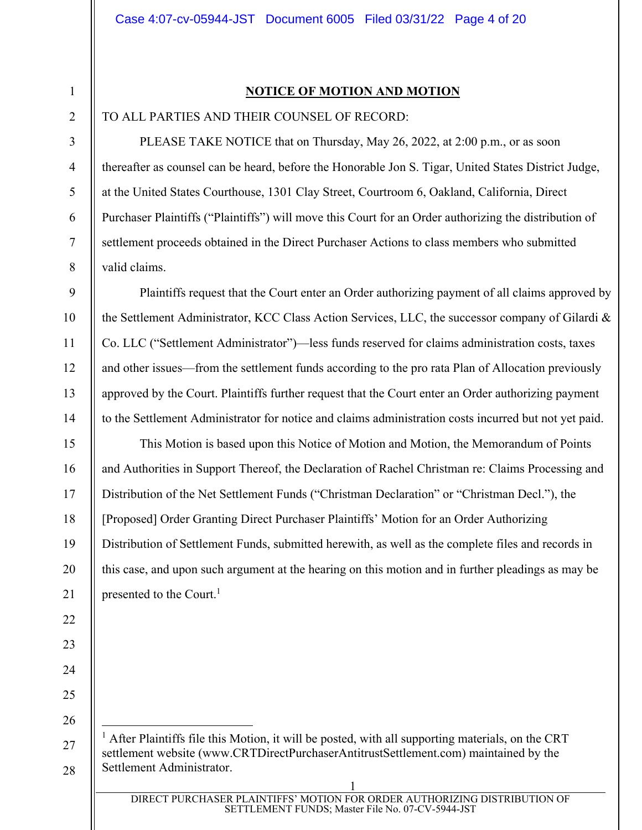2

3

4

5

6

7

8

9

10

11

12

13

14

15

16

17

18

19

20

21

22

23

24

25

26

27

28

# **NOTICE OF MOTION AND MOTION**

## TO ALL PARTIES AND THEIR COUNSEL OF RECORD:

PLEASE TAKE NOTICE that on Thursday, May 26, 2022, at 2:00 p.m., or as soon thereafter as counsel can be heard, before the Honorable Jon S. Tigar, United States District Judge, at the United States Courthouse, 1301 Clay Street, Courtroom 6, Oakland, California, Direct Purchaser Plaintiffs ("Plaintiffs") will move this Court for an Order authorizing the distribution of settlement proceeds obtained in the Direct Purchaser Actions to class members who submitted valid claims.

Plaintiffs request that the Court enter an Order authorizing payment of all claims approved by the Settlement Administrator, KCC Class Action Services, LLC, the successor company of Gilardi & Co. LLC ("Settlement Administrator")—less funds reserved for claims administration costs, taxes and other issues—from the settlement funds according to the pro rata Plan of Allocation previously approved by the Court. Plaintiffs further request that the Court enter an Order authorizing payment to the Settlement Administrator for notice and claims administration costs incurred but not yet paid.

This Motion is based upon this Notice of Motion and Motion, the Memorandum of Points and Authorities in Support Thereof, the Declaration of Rachel Christman re: Claims Processing and Distribution of the Net Settlement Funds ("Christman Declaration" or "Christman Decl."), the [Proposed] Order Granting Direct Purchaser Plaintiffs' Motion for an Order Authorizing Distribution of Settlement Funds, submitted herewith, as well as the complete files and records in this case, and upon such argument at the hearing on this motion and in further pleadings as may be presented to the Court.<sup>1</sup>

<sup>1</sup> After Plaintiffs file this Motion, it will be posted, with all supporting materials, on the CRT settlement website (www.CRTDirectPurchaserAntitrustSettlement.com) maintained by the Settlement Administrator.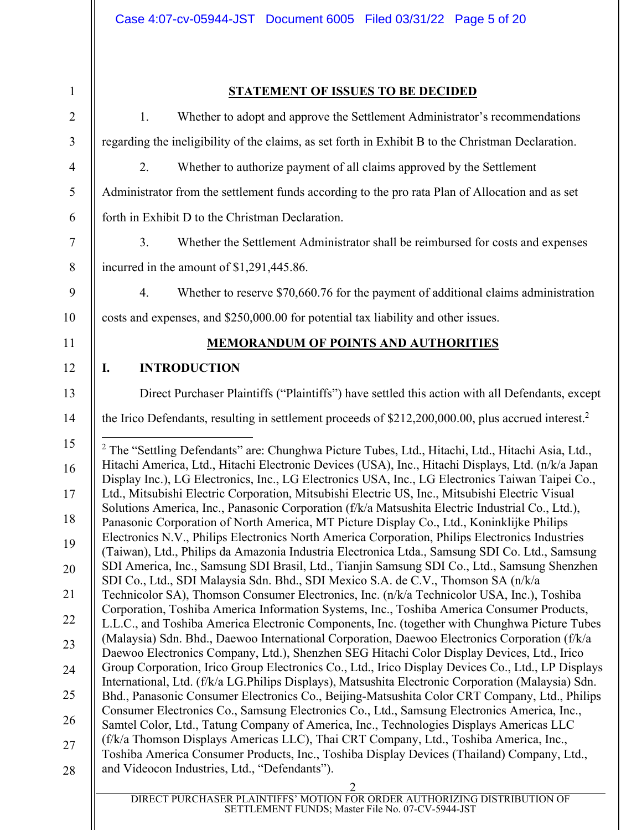| 1.                                                                                            | Whether to adopt and approve the Settlement Administrator's recommendations                                                                                                                                                                                                                                                                                                                                                                                                                                                                                                                                                                                                                                                                                                                                                                                                                                                                                                                                                                                                                                                                                                                                                                                                                                       |
|-----------------------------------------------------------------------------------------------|-------------------------------------------------------------------------------------------------------------------------------------------------------------------------------------------------------------------------------------------------------------------------------------------------------------------------------------------------------------------------------------------------------------------------------------------------------------------------------------------------------------------------------------------------------------------------------------------------------------------------------------------------------------------------------------------------------------------------------------------------------------------------------------------------------------------------------------------------------------------------------------------------------------------------------------------------------------------------------------------------------------------------------------------------------------------------------------------------------------------------------------------------------------------------------------------------------------------------------------------------------------------------------------------------------------------|
|                                                                                               | regarding the ineligibility of the claims, as set forth in Exhibit B to the Christman Declaration.                                                                                                                                                                                                                                                                                                                                                                                                                                                                                                                                                                                                                                                                                                                                                                                                                                                                                                                                                                                                                                                                                                                                                                                                                |
| 2.                                                                                            | Whether to authorize payment of all claims approved by the Settlement                                                                                                                                                                                                                                                                                                                                                                                                                                                                                                                                                                                                                                                                                                                                                                                                                                                                                                                                                                                                                                                                                                                                                                                                                                             |
|                                                                                               | Administrator from the settlement funds according to the pro rata Plan of Allocation and as set                                                                                                                                                                                                                                                                                                                                                                                                                                                                                                                                                                                                                                                                                                                                                                                                                                                                                                                                                                                                                                                                                                                                                                                                                   |
|                                                                                               | forth in Exhibit D to the Christman Declaration.                                                                                                                                                                                                                                                                                                                                                                                                                                                                                                                                                                                                                                                                                                                                                                                                                                                                                                                                                                                                                                                                                                                                                                                                                                                                  |
| 3.                                                                                            | Whether the Settlement Administrator shall be reimbursed for costs and expenses                                                                                                                                                                                                                                                                                                                                                                                                                                                                                                                                                                                                                                                                                                                                                                                                                                                                                                                                                                                                                                                                                                                                                                                                                                   |
|                                                                                               | incurred in the amount of \$1,291,445.86.                                                                                                                                                                                                                                                                                                                                                                                                                                                                                                                                                                                                                                                                                                                                                                                                                                                                                                                                                                                                                                                                                                                                                                                                                                                                         |
| 4.                                                                                            | Whether to reserve \$70,660.76 for the payment of additional claims administration                                                                                                                                                                                                                                                                                                                                                                                                                                                                                                                                                                                                                                                                                                                                                                                                                                                                                                                                                                                                                                                                                                                                                                                                                                |
|                                                                                               | costs and expenses, and \$250,000.00 for potential tax liability and other issues.                                                                                                                                                                                                                                                                                                                                                                                                                                                                                                                                                                                                                                                                                                                                                                                                                                                                                                                                                                                                                                                                                                                                                                                                                                |
|                                                                                               | <b>MEMORANDUM OF POINTS AND AUTHORITIES</b>                                                                                                                                                                                                                                                                                                                                                                                                                                                                                                                                                                                                                                                                                                                                                                                                                                                                                                                                                                                                                                                                                                                                                                                                                                                                       |
| I.                                                                                            | <b>INTRODUCTION</b>                                                                                                                                                                                                                                                                                                                                                                                                                                                                                                                                                                                                                                                                                                                                                                                                                                                                                                                                                                                                                                                                                                                                                                                                                                                                                               |
|                                                                                               |                                                                                                                                                                                                                                                                                                                                                                                                                                                                                                                                                                                                                                                                                                                                                                                                                                                                                                                                                                                                                                                                                                                                                                                                                                                                                                                   |
|                                                                                               | Direct Purchaser Plaintiffs ("Plaintiffs") have settled this action with all Defendants, except                                                                                                                                                                                                                                                                                                                                                                                                                                                                                                                                                                                                                                                                                                                                                                                                                                                                                                                                                                                                                                                                                                                                                                                                                   |
|                                                                                               | the Irico Defendants, resulting in settlement proceeds of \$212,200,000.00, plus accrued interest. <sup>2</sup>                                                                                                                                                                                                                                                                                                                                                                                                                                                                                                                                                                                                                                                                                                                                                                                                                                                                                                                                                                                                                                                                                                                                                                                                   |
| (Malaysia) Sdn. Bhd., Daewoo International Corporation, Daewoo Electronics Corporation (f/k/a | <sup>2</sup> The "Settling Defendants" are: Chunghwa Picture Tubes, Ltd., Hitachi, Ltd., Hitachi Asia, Ltd.,<br>Hitachi America, Ltd., Hitachi Electronic Devices (USA), Inc., Hitachi Displays, Ltd. (n/k/a Japan<br>Display Inc.), LG Electronics, Inc., LG Electronics USA, Inc., LG Electronics Taiwan Taipei Co.,<br>Ltd., Mitsubishi Electric Corporation, Mitsubishi Electric US, Inc., Mitsubishi Electric Visual<br>Solutions America, Inc., Panasonic Corporation (f/k/a Matsushita Electric Industrial Co., Ltd.),<br>Panasonic Corporation of North America, MT Picture Display Co., Ltd., Koninklijke Philips<br>Electronics N.V., Philips Electronics North America Corporation, Philips Electronics Industries<br>(Taiwan), Ltd., Philips da Amazonia Industria Electronica Ltda., Samsung SDI Co. Ltd., Samsung<br>SDI America, Inc., Samsung SDI Brasil, Ltd., Tianjin Samsung SDI Co., Ltd., Samsung Shenzhen<br>SDI Co., Ltd., SDI Malaysia Sdn. Bhd., SDI Mexico S.A. de C.V., Thomson SA (n/k/a<br>Technicolor SA), Thomson Consumer Electronics, Inc. (n/k/a Technicolor USA, Inc.), Toshiba<br>Corporation, Toshiba America Information Systems, Inc., Toshiba America Consumer Products,<br>L.L.C., and Toshiba America Electronic Components, Inc. (together with Chunghwa Picture Tubes |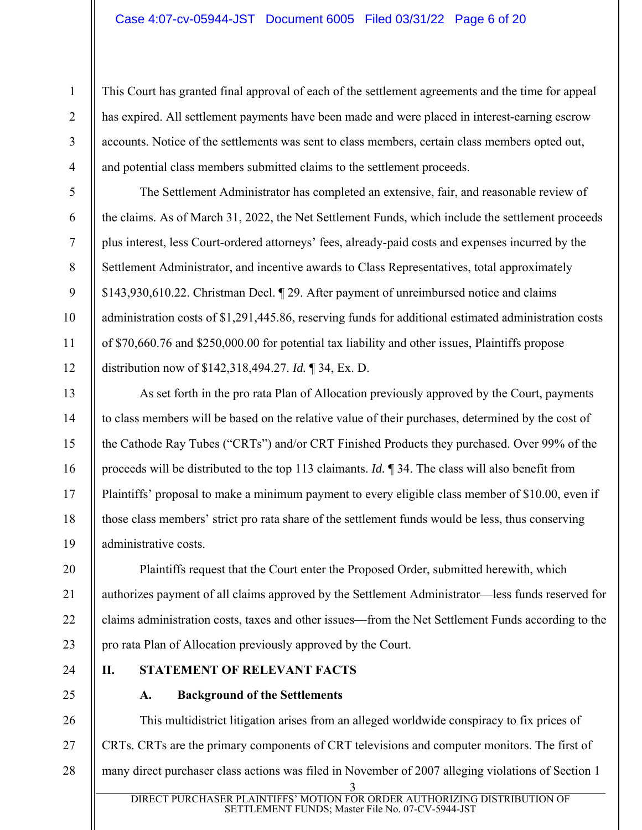This Court has granted final approval of each of the settlement agreements and the time for appeal has expired. All settlement payments have been made and were placed in interest-earning escrow accounts. Notice of the settlements was sent to class members, certain class members opted out, and potential class members submitted claims to the settlement proceeds.

The Settlement Administrator has completed an extensive, fair, and reasonable review of the claims. As of March 31, 2022, the Net Settlement Funds, which include the settlement proceeds plus interest, less Court-ordered attorneys' fees, already-paid costs and expenses incurred by the Settlement Administrator, and incentive awards to Class Representatives, total approximately \$143,930,610.22. Christman Decl. ¶ 29. After payment of unreimbursed notice and claims administration costs of \$1,291,445.86, reserving funds for additional estimated administration costs of \$70,660.76 and \$250,000.00 for potential tax liability and other issues, Plaintiffs propose distribution now of \$142,318,494.27. *Id.* ¶ 34, Ex. D.

As set forth in the pro rata Plan of Allocation previously approved by the Court, payments to class members will be based on the relative value of their purchases, determined by the cost of the Cathode Ray Tubes ("CRTs") and/or CRT Finished Products they purchased. Over 99% of the proceeds will be distributed to the top 113 claimants. *Id.* ¶ 34. The class will also benefit from Plaintiffs' proposal to make a minimum payment to every eligible class member of \$10.00, even if those class members' strict pro rata share of the settlement funds would be less, thus conserving administrative costs.

Plaintiffs request that the Court enter the Proposed Order, submitted herewith, which authorizes payment of all claims approved by the Settlement Administrator—less funds reserved for claims administration costs, taxes and other issues—from the Net Settlement Funds according to the pro rata Plan of Allocation previously approved by the Court.

24

1

2

3

4

5

6

7

8

9

10

11

12

13

14

15

16

17

18

19

20

21

22

23

25

# **II. STATEMENT OF RELEVANT FACTS**

**A. Background of the Settlements** 

3 26 27 28 This multidistrict litigation arises from an alleged worldwide conspiracy to fix prices of CRTs. CRTs are the primary components of CRT televisions and computer monitors. The first of many direct purchaser class actions was filed in November of 2007 alleging violations of Section 1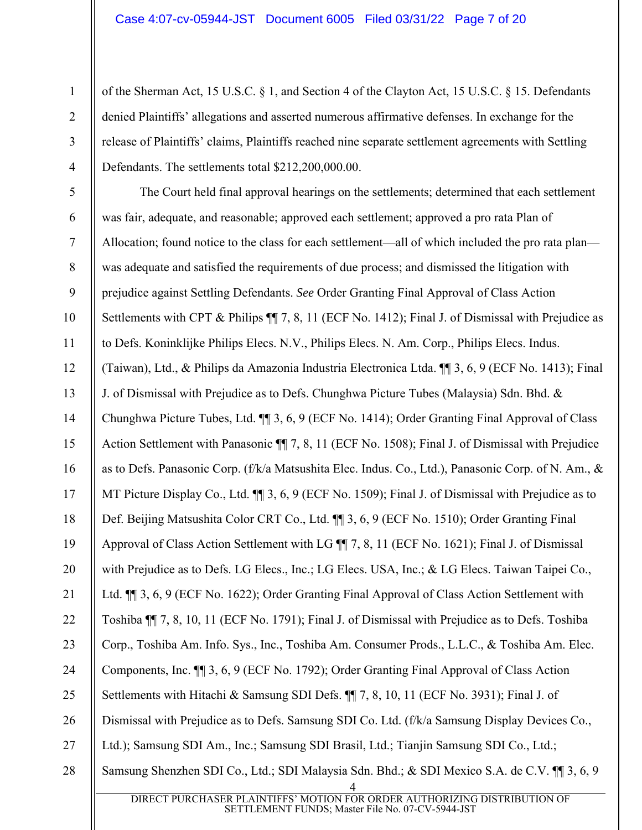2

3

4

of the Sherman Act, 15 U.S.C. § 1, and Section 4 of the Clayton Act, 15 U.S.C. § 15. Defendants denied Plaintiffs' allegations and asserted numerous affirmative defenses. In exchange for the release of Plaintiffs' claims, Plaintiffs reached nine separate settlement agreements with Settling Defendants. The settlements total \$212,200,000.00.

4 DIRECT PURCHASER PLAINTIFFS' MOTION FOR ORDER AUTHORIZING DISTRIBUTION OF 5 6 7 8 9 10 11 12 13 14 15 16 17 18 19 20 21 22 23 24 25 26 27 28 The Court held final approval hearings on the settlements; determined that each settlement was fair, adequate, and reasonable; approved each settlement; approved a pro rata Plan of Allocation; found notice to the class for each settlement—all of which included the pro rata plan was adequate and satisfied the requirements of due process; and dismissed the litigation with prejudice against Settling Defendants. *See* Order Granting Final Approval of Class Action Settlements with CPT & Philips  $\P$  7, 8, 11 (ECF No. 1412); Final J. of Dismissal with Prejudice as to Defs. Koninklijke Philips Elecs. N.V., Philips Elecs. N. Am. Corp., Philips Elecs. Indus. (Taiwan), Ltd., & Philips da Amazonia Industria Electronica Ltda. ¶¶ 3, 6, 9 (ECF No. 1413); Final J. of Dismissal with Prejudice as to Defs. Chunghwa Picture Tubes (Malaysia) Sdn. Bhd. & Chunghwa Picture Tubes, Ltd. ¶¶ 3, 6, 9 (ECF No. 1414); Order Granting Final Approval of Class Action Settlement with Panasonic ¶¶ 7, 8, 11 (ECF No. 1508); Final J. of Dismissal with Prejudice as to Defs. Panasonic Corp. (f/k/a Matsushita Elec. Indus. Co., Ltd.), Panasonic Corp. of N. Am., & MT Picture Display Co., Ltd.  $\P$  3, 6, 9 (ECF No. 1509); Final J. of Dismissal with Prejudice as to Def. Beijing Matsushita Color CRT Co., Ltd. ¶¶ 3, 6, 9 (ECF No. 1510); Order Granting Final Approval of Class Action Settlement with LG ¶¶ 7, 8, 11 (ECF No. 1621); Final J. of Dismissal with Prejudice as to Defs. LG Elecs., Inc.; LG Elecs. USA, Inc.; & LG Elecs. Taiwan Taipei Co., Ltd.  $\P$  3, 6, 9 (ECF No. 1622); Order Granting Final Approval of Class Action Settlement with Toshiba ¶¶ 7, 8, 10, 11 (ECF No. 1791); Final J. of Dismissal with Prejudice as to Defs. Toshiba Corp., Toshiba Am. Info. Sys., Inc., Toshiba Am. Consumer Prods., L.L.C., & Toshiba Am. Elec. Components, Inc. ¶¶ 3, 6, 9 (ECF No. 1792); Order Granting Final Approval of Class Action Settlements with Hitachi & Samsung SDI Defs. ¶¶ 7, 8, 10, 11 (ECF No. 3931); Final J. of Dismissal with Prejudice as to Defs. Samsung SDI Co. Ltd. (f/k/a Samsung Display Devices Co., Ltd.); Samsung SDI Am., Inc.; Samsung SDI Brasil, Ltd.; Tianjin Samsung SDI Co., Ltd.; Samsung Shenzhen SDI Co., Ltd.; SDI Malaysia Sdn. Bhd.; & SDI Mexico S.A. de C.V. ¶¶ 3, 6, 9

SETTLEMENT FUNDS; Master File No. 07-CV-5944-JST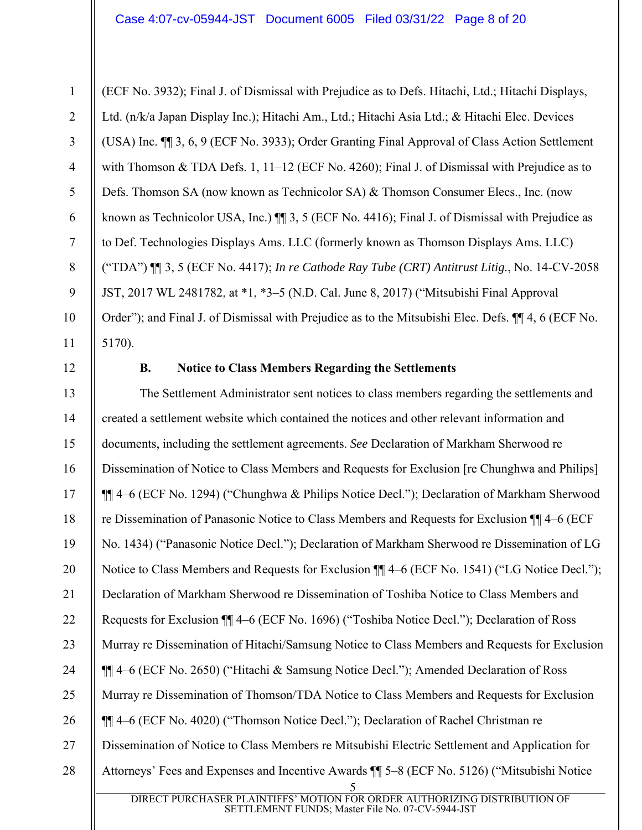(ECF No. 3932); Final J. of Dismissal with Prejudice as to Defs. Hitachi, Ltd.; Hitachi Displays, Ltd. (n/k/a Japan Display Inc.); Hitachi Am., Ltd.; Hitachi Asia Ltd.; & Hitachi Elec. Devices (USA) Inc. ¶¶ 3, 6, 9 (ECF No. 3933); Order Granting Final Approval of Class Action Settlement with Thomson & TDA Defs. 1, 11-12 (ECF No. 4260); Final J. of Dismissal with Prejudice as to Defs. Thomson SA (now known as Technicolor SA) & Thomson Consumer Elecs., Inc. (now known as Technicolor USA, Inc.)  $\P$  3, 5 (ECF No. 4416); Final J. of Dismissal with Prejudice as to Def. Technologies Displays Ams. LLC (formerly known as Thomson Displays Ams. LLC) ("TDA") ¶¶ 3, 5 (ECF No. 4417); *In re Cathode Ray Tube (CRT) Antitrust Litig.*, No. 14-CV-2058 JST, 2017 WL 2481782, at \*1, \*3–5 (N.D. Cal. June 8, 2017) ("Mitsubishi Final Approval Order"); and Final J. of Dismissal with Prejudice as to the Mitsubishi Elec. Defs. ¶¶ 4, 6 (ECF No. 5170).

12

1

2

3

4

5

6

7

8

9

10

11

### **B. Notice to Class Members Regarding the Settlements**

5 DIRECT PURCHASER PLAINTIFFS' MOTION FOR ORDER AUTHORIZING DISTRIBUTION OF 13 14 15 16 17 18 19 20 21 22 23 24 25 26 27 28 The Settlement Administrator sent notices to class members regarding the settlements and created a settlement website which contained the notices and other relevant information and documents, including the settlement agreements. *See* Declaration of Markham Sherwood re Dissemination of Notice to Class Members and Requests for Exclusion [re Chunghwa and Philips] ¶¶ 4–6 (ECF No. 1294) ("Chunghwa & Philips Notice Decl."); Declaration of Markham Sherwood re Dissemination of Panasonic Notice to Class Members and Requests for Exclusion ¶¶ 4–6 (ECF No. 1434) ("Panasonic Notice Decl."); Declaration of Markham Sherwood re Dissemination of LG Notice to Class Members and Requests for Exclusion ¶¶ 4–6 (ECF No. 1541) ("LG Notice Decl."); Declaration of Markham Sherwood re Dissemination of Toshiba Notice to Class Members and Requests for Exclusion ¶¶ 4–6 (ECF No. 1696) ("Toshiba Notice Decl."); Declaration of Ross Murray re Dissemination of Hitachi/Samsung Notice to Class Members and Requests for Exclusion ¶¶ 4–6 (ECF No. 2650) ("Hitachi & Samsung Notice Decl."); Amended Declaration of Ross Murray re Dissemination of Thomson/TDA Notice to Class Members and Requests for Exclusion ¶¶ 4–6 (ECF No. 4020) ("Thomson Notice Decl."); Declaration of Rachel Christman re Dissemination of Notice to Class Members re Mitsubishi Electric Settlement and Application for Attorneys' Fees and Expenses and Incentive Awards ¶¶ 5–8 (ECF No. 5126) ("Mitsubishi Notice

SETTLEMENT FUNDS; Master File No. 07-CV-5944-JST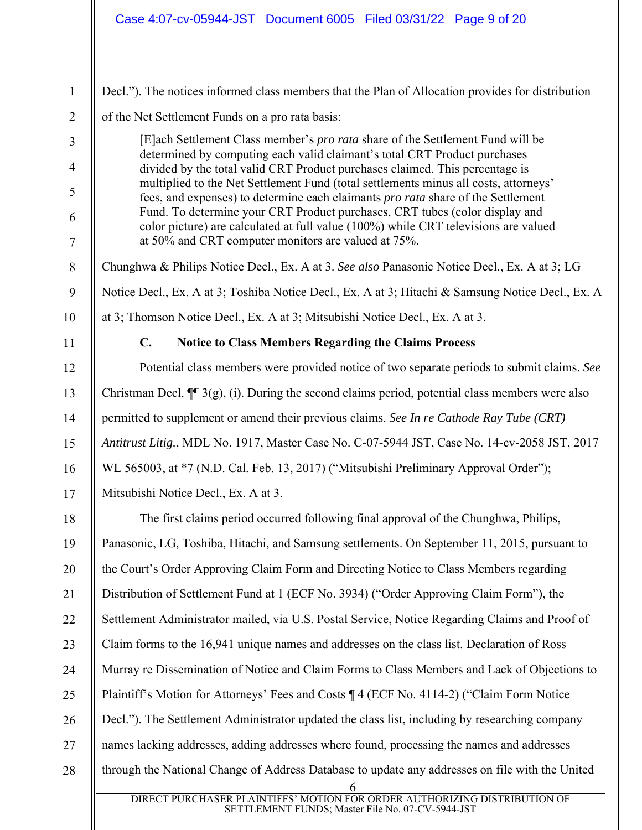| $\mathbf{1}$   | Decl."). The notices informed class members that the Plan of Allocation provides for distribution                                                                                                                         |
|----------------|---------------------------------------------------------------------------------------------------------------------------------------------------------------------------------------------------------------------------|
| $\overline{2}$ | of the Net Settlement Funds on a pro rata basis:                                                                                                                                                                          |
| 3              | [E]ach Settlement Class member's <i>pro rata</i> share of the Settlement Fund will be<br>determined by computing each valid claimant's total CRT Product purchases                                                        |
| $\overline{4}$ | divided by the total valid CRT Product purchases claimed. This percentage is<br>multiplied to the Net Settlement Fund (total settlements minus all costs, attorneys'                                                      |
| 5              | fees, and expenses) to determine each claimants pro rata share of the Settlement                                                                                                                                          |
| 6<br>$\tau$    | Fund. To determine your CRT Product purchases, CRT tubes (color display and<br>color picture) are calculated at full value (100%) while CRT televisions are valued<br>at 50% and CRT computer monitors are valued at 75%. |
| $8\phantom{1}$ | Chunghwa & Philips Notice Decl., Ex. A at 3. See also Panasonic Notice Decl., Ex. A at 3; LG                                                                                                                              |
| 9              | Notice Decl., Ex. A at 3; Toshiba Notice Decl., Ex. A at 3; Hitachi & Samsung Notice Decl., Ex. A                                                                                                                         |
| 10             | at 3; Thomson Notice Decl., Ex. A at 3; Mitsubishi Notice Decl., Ex. A at 3.                                                                                                                                              |
| 11             | $\mathbf{C}$ .<br><b>Notice to Class Members Regarding the Claims Process</b>                                                                                                                                             |
| 12             | Potential class members were provided notice of two separate periods to submit claims. See                                                                                                                                |
| 13             | Christman Decl. $\P$ 3(g), (i). During the second claims period, potential class members were also                                                                                                                        |
| 14             | permitted to supplement or amend their previous claims. See In re Cathode Ray Tube (CRT)                                                                                                                                  |
| 15             | Antitrust Litig., MDL No. 1917, Master Case No. C-07-5944 JST, Case No. 14-cv-2058 JST, 2017                                                                                                                              |
| 16             | WL 565003, at *7 (N.D. Cal. Feb. 13, 2017) ("Mitsubishi Preliminary Approval Order");                                                                                                                                     |
| 17             | Mitsubishi Notice Decl., Ex. A at 3.                                                                                                                                                                                      |
| 18             | The first claims period occurred following final approval of the Chunghwa, Philips,                                                                                                                                       |
| 19             | Panasonic, LG, Toshiba, Hitachi, and Samsung settlements. On September 11, 2015, pursuant to                                                                                                                              |
| 20             | the Court's Order Approving Claim Form and Directing Notice to Class Members regarding                                                                                                                                    |
| 21             | Distribution of Settlement Fund at 1 (ECF No. 3934) ("Order Approving Claim Form"), the                                                                                                                                   |
| 22             | Settlement Administrator mailed, via U.S. Postal Service, Notice Regarding Claims and Proof of                                                                                                                            |
| 23             | Claim forms to the 16,941 unique names and addresses on the class list. Declaration of Ross                                                                                                                               |
| 24             | Murray re Dissemination of Notice and Claim Forms to Class Members and Lack of Objections to                                                                                                                              |
| 25             | Plaintiff's Motion for Attorneys' Fees and Costs ¶ 4 (ECF No. 4114-2) ("Claim Form Notice                                                                                                                                 |
| 26             | Decl."). The Settlement Administrator updated the class list, including by researching company                                                                                                                            |
| 27             | names lacking addresses, adding addresses where found, processing the names and addresses                                                                                                                                 |
| 28             | through the National Change of Address Database to update any addresses on file with the United<br>6<br>DIRECT PURCHASER PLAINTIFFS' MOTION FOR ORDER AUTHORIZING DISTRIBUTION OF                                         |
|                | SETTLEMENT FUNDS; Master File No. 07-CV-5944-JST                                                                                                                                                                          |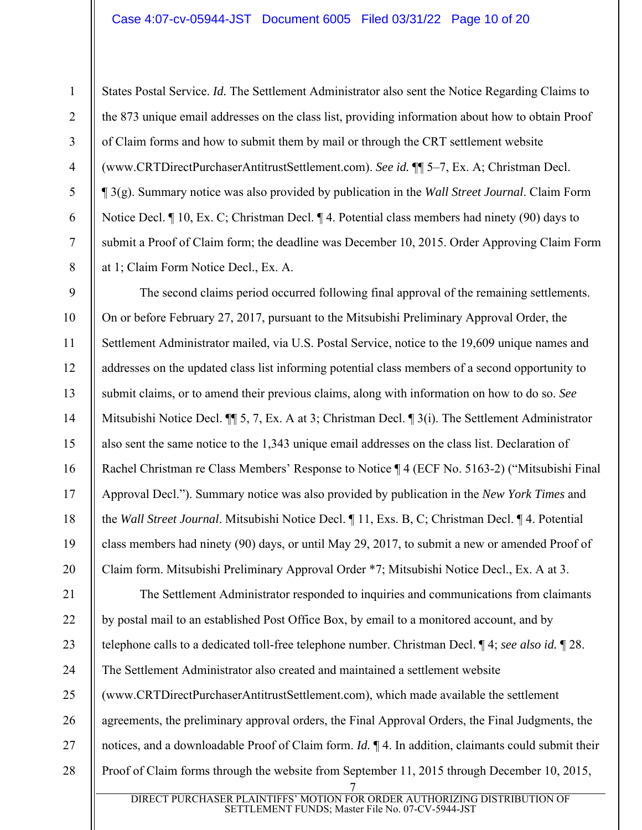2

3

4

5

6

7

8

11

States Postal Service. *Id.* The Settlement Administrator also sent the Notice Regarding Claims to the 873 unique email addresses on the class list, providing information about how to obtain Proof of Claim forms and how to submit them by mail or through the CRT settlement website (www.CRTDirectPurchaserAntitrustSettlement.com). *See id.* ¶¶ 5–7, Ex. A; Christman Decl. ¶ 3(g). Summary notice was also provided by publication in the *Wall Street Journal*. Claim Form Notice Decl. ¶ 10, Ex. C; Christman Decl. ¶ 4. Potential class members had ninety (90) days to submit a Proof of Claim form; the deadline was December 10, 2015. Order Approving Claim Form at 1; Claim Form Notice Decl., Ex. A.

9 10 12 13 14 15 16 17 18 19 20 The second claims period occurred following final approval of the remaining settlements. On or before February 27, 2017, pursuant to the Mitsubishi Preliminary Approval Order, the Settlement Administrator mailed, via U.S. Postal Service, notice to the 19,609 unique names and addresses on the updated class list informing potential class members of a second opportunity to submit claims, or to amend their previous claims, along with information on how to do so. *See* Mitsubishi Notice Decl. ¶¶ 5, 7, Ex. A at 3; Christman Decl. ¶ 3(i). The Settlement Administrator also sent the same notice to the 1,343 unique email addresses on the class list. Declaration of Rachel Christman re Class Members' Response to Notice ¶ 4 (ECF No. 5163-2) ("Mitsubishi Final Approval Decl."). Summary notice was also provided by publication in the *New York Times* and the *Wall Street Journal*. Mitsubishi Notice Decl. ¶ 11, Exs. B, C; Christman Decl. ¶ 4. Potential class members had ninety (90) days, or until May 29, 2017, to submit a new or amended Proof of Claim form. Mitsubishi Preliminary Approval Order \*7; Mitsubishi Notice Decl., Ex. A at 3.

7 21 22 23 24 25 26 27 28 The Settlement Administrator responded to inquiries and communications from claimants by postal mail to an established Post Office Box, by email to a monitored account, and by telephone calls to a dedicated toll-free telephone number. Christman Decl. ¶ 4; *see also id.* ¶ 28. The Settlement Administrator also created and maintained a settlement website (www.CRTDirectPurchaserAntitrustSettlement.com), which made available the settlement agreements, the preliminary approval orders, the Final Approval Orders, the Final Judgments, the notices, and a downloadable Proof of Claim form. *Id.* ¶ 4. In addition, claimants could submit their Proof of Claim forms through the website from September 11, 2015 through December 10, 2015,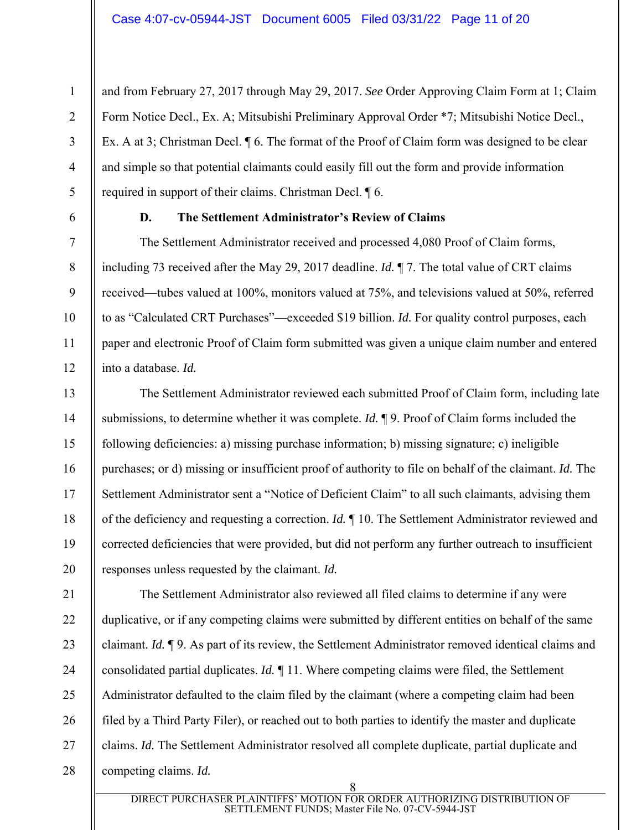and from February 27, 2017 through May 29, 2017. *See* Order Approving Claim Form at 1; Claim Form Notice Decl., Ex. A; Mitsubishi Preliminary Approval Order \*7; Mitsubishi Notice Decl., Ex. A at 3; Christman Decl. ¶ 6. The format of the Proof of Claim form was designed to be clear and simple so that potential claimants could easily fill out the form and provide information required in support of their claims. Christman Decl. ¶ 6.

1

2

3

4

5

6

7

8

9

10

11

12

13

14

15

16

17

18

19

20

#### **D. The Settlement Administrator's Review of Claims**

The Settlement Administrator received and processed 4,080 Proof of Claim forms, including 73 received after the May 29, 2017 deadline. *Id.* ¶ 7. The total value of CRT claims received—tubes valued at 100%, monitors valued at 75%, and televisions valued at 50%, referred to as "Calculated CRT Purchases"—exceeded \$19 billion. *Id.* For quality control purposes, each paper and electronic Proof of Claim form submitted was given a unique claim number and entered into a database. *Id.*

The Settlement Administrator reviewed each submitted Proof of Claim form, including late submissions, to determine whether it was complete. *Id.* ¶ 9. Proof of Claim forms included the following deficiencies: a) missing purchase information; b) missing signature; c) ineligible purchases; or d) missing or insufficient proof of authority to file on behalf of the claimant. *Id.* The Settlement Administrator sent a "Notice of Deficient Claim" to all such claimants, advising them of the deficiency and requesting a correction. *Id.* ¶ 10. The Settlement Administrator reviewed and corrected deficiencies that were provided, but did not perform any further outreach to insufficient responses unless requested by the claimant. *Id.*

21 22 23 24 25 26 27 28 The Settlement Administrator also reviewed all filed claims to determine if any were duplicative, or if any competing claims were submitted by different entities on behalf of the same claimant. *Id.* ¶ 9. As part of its review, the Settlement Administrator removed identical claims and consolidated partial duplicates. *Id.* ¶ 11. Where competing claims were filed, the Settlement Administrator defaulted to the claim filed by the claimant (where a competing claim had been filed by a Third Party Filer), or reached out to both parties to identify the master and duplicate claims. *Id.* The Settlement Administrator resolved all complete duplicate, partial duplicate and competing claims. *Id.*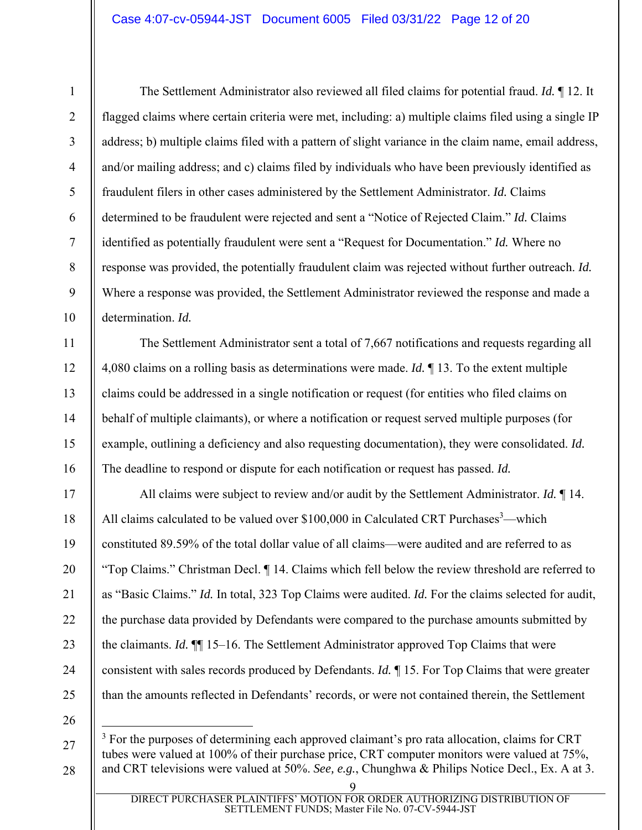The Settlement Administrator also reviewed all filed claims for potential fraud. *Id.* ¶ 12. It flagged claims where certain criteria were met, including: a) multiple claims filed using a single IP address; b) multiple claims filed with a pattern of slight variance in the claim name, email address, and/or mailing address; and c) claims filed by individuals who have been previously identified as fraudulent filers in other cases administered by the Settlement Administrator. *Id.* Claims determined to be fraudulent were rejected and sent a "Notice of Rejected Claim." *Id.* Claims identified as potentially fraudulent were sent a "Request for Documentation." *Id.* Where no response was provided, the potentially fraudulent claim was rejected without further outreach. *Id.* Where a response was provided, the Settlement Administrator reviewed the response and made a determination. *Id.*

The Settlement Administrator sent a total of 7,667 notifications and requests regarding all 4,080 claims on a rolling basis as determinations were made. *Id.* ¶ 13. To the extent multiple claims could be addressed in a single notification or request (for entities who filed claims on behalf of multiple claimants), or where a notification or request served multiple purposes (for example, outlining a deficiency and also requesting documentation), they were consolidated. *Id.* The deadline to respond or dispute for each notification or request has passed. *Id.*

All claims were subject to review and/or audit by the Settlement Administrator. *Id.* ¶ 14. All claims calculated to be valued over \$100,000 in Calculated CRT Purchases<sup>3</sup>—which constituted 89.59% of the total dollar value of all claims—were audited and are referred to as "Top Claims." Christman Decl. ¶ 14. Claims which fell below the review threshold are referred to as "Basic Claims." *Id.* In total, 323 Top Claims were audited. *Id.* For the claims selected for audit, the purchase data provided by Defendants were compared to the purchase amounts submitted by the claimants. *Id.* ¶¶ 15–16. The Settlement Administrator approved Top Claims that were consistent with sales records produced by Defendants. *Id.* ¶ 15. For Top Claims that were greater than the amounts reflected in Defendants' records, or were not contained therein, the Settlement

26 27

28

1

2

3

4

5

6

7

8

9

10

11

12

13

14

15

16

17

18

19

20

21

22

23

24

25

<sup>3</sup> For the purposes of determining each approved claimant's pro rata allocation, claims for CRT tubes were valued at 100% of their purchase price, CRT computer monitors were valued at 75%, and CRT televisions were valued at 50%. *See, e.g.*, Chunghwa & Philips Notice Decl., Ex. A at 3.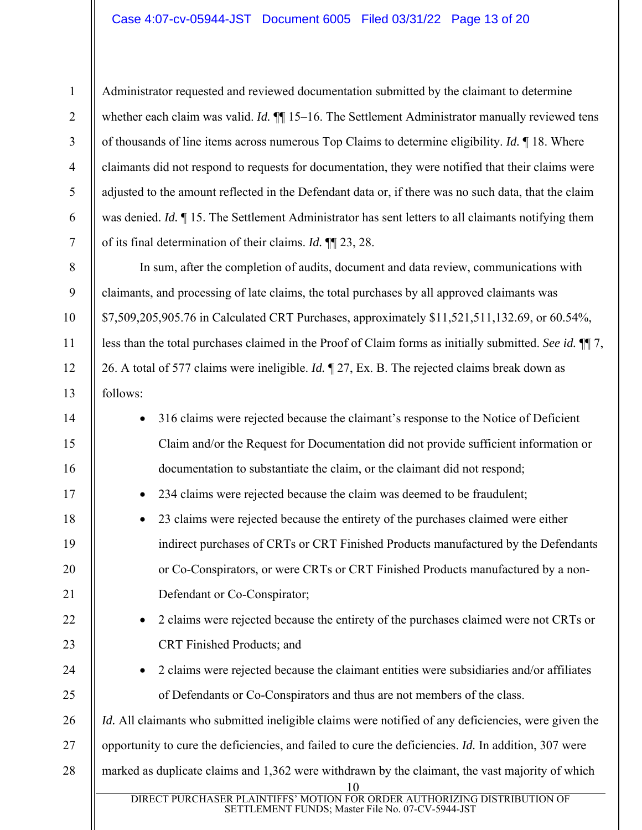2

3

4

5

6

7

8

9

10

11

12

13

Administrator requested and reviewed documentation submitted by the claimant to determine whether each claim was valid. *Id.*  $\P$  15–16. The Settlement Administrator manually reviewed tens of thousands of line items across numerous Top Claims to determine eligibility. *Id.* ¶ 18. Where claimants did not respond to requests for documentation, they were notified that their claims were adjusted to the amount reflected in the Defendant data or, if there was no such data, that the claim was denied. *Id.* ¶ 15. The Settlement Administrator has sent letters to all claimants notifying them of its final determination of their claims. *Id.* ¶¶ 23, 28.

In sum, after the completion of audits, document and data review, communications with claimants, and processing of late claims, the total purchases by all approved claimants was \$7,509,205,905.76 in Calculated CRT Purchases, approximately \$11,521,511,132.69, or 60.54%, less than the total purchases claimed in the Proof of Claim forms as initially submitted. *See id.* ¶¶ 7, 26. A total of 577 claims were ineligible. *Id.* ¶ 27, Ex. B. The rejected claims break down as follows:

| 14 | 316 claims were rejected because the claimant's response to the Notice of Deficient                                                      |
|----|------------------------------------------------------------------------------------------------------------------------------------------|
| 15 | Claim and/or the Request for Documentation did not provide sufficient information or                                                     |
| 16 | documentation to substantiate the claim, or the claimant did not respond;                                                                |
| 17 | 234 claims were rejected because the claim was deemed to be fraudulent;<br>$\bullet$                                                     |
| 18 | 23 claims were rejected because the entirety of the purchases claimed were either                                                        |
| 19 | indirect purchases of CRTs or CRT Finished Products manufactured by the Defendants                                                       |
| 20 | or Co-Conspirators, or were CRTs or CRT Finished Products manufactured by a non-                                                         |
| 21 | Defendant or Co-Conspirator;                                                                                                             |
| 22 | 2 claims were rejected because the entirety of the purchases claimed were not CRTs or                                                    |
| 23 | CRT Finished Products; and                                                                                                               |
| 24 | 2 claims were rejected because the claimant entities were subsidiaries and/or affiliates                                                 |
| 25 | of Defendants or Co-Conspirators and thus are not members of the class.                                                                  |
| 26 | <i>Id.</i> All claimants who submitted ineligible claims were notified of any deficiencies, were given the                               |
| 27 | opportunity to cure the deficiencies, and failed to cure the deficiencies. Id. In addition, 307 were                                     |
| 28 | marked as duplicate claims and 1,362 were withdrawn by the claimant, the vast majority of which                                          |
|    |                                                                                                                                          |
|    | <b>DIRECT PURCHASER PLAINTIFFS' MOT</b><br>ION FOR ORDER AUTHORIZING DISTRIBUTION OF<br>SETTLEMENT FUNDS; Master File No. 07-CV-5944-JST |
|    |                                                                                                                                          |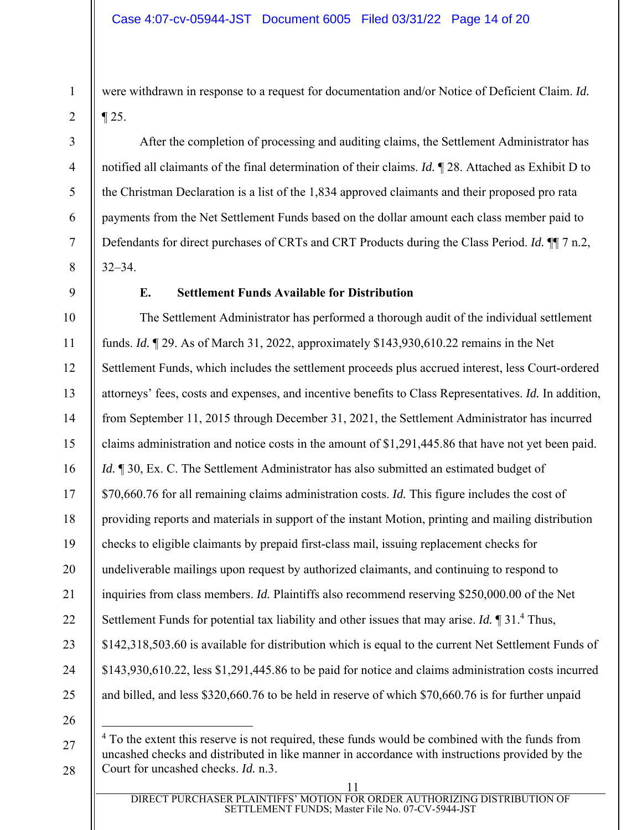were withdrawn in response to a request for documentation and/or Notice of Deficient Claim. *Id.* ¶ 25.

After the completion of processing and auditing claims, the Settlement Administrator has notified all claimants of the final determination of their claims. *Id.* ¶ 28. Attached as Exhibit D to the Christman Declaration is a list of the 1,834 approved claimants and their proposed pro rata payments from the Net Settlement Funds based on the dollar amount each class member paid to Defendants for direct purchases of CRTs and CRT Products during the Class Period. *Id.* ¶¶ 7 n.2, 32–34.

1

2

3

4

5

6

7

8

#### **E. Settlement Funds Available for Distribution**

The Settlement Administrator has performed a thorough audit of the individual settlement funds. *Id.* ¶ 29. As of March 31, 2022, approximately \$143,930,610.22 remains in the Net Settlement Funds, which includes the settlement proceeds plus accrued interest, less Court-ordered attorneys' fees, costs and expenses, and incentive benefits to Class Representatives. *Id.* In addition, from September 11, 2015 through December 31, 2021, the Settlement Administrator has incurred claims administration and notice costs in the amount of \$1,291,445.86 that have not yet been paid. *Id.*  $\parallel$  30, Ex. C. The Settlement Administrator has also submitted an estimated budget of \$70,660.76 for all remaining claims administration costs. *Id.* This figure includes the cost of providing reports and materials in support of the instant Motion, printing and mailing distribution checks to eligible claimants by prepaid first-class mail, issuing replacement checks for undeliverable mailings upon request by authorized claimants, and continuing to respond to inquiries from class members. *Id.* Plaintiffs also recommend reserving \$250,000.00 of the Net Settlement Funds for potential tax liability and other issues that may arise. *Id*. *[2013]* Thus, \$142,318,503.60 is available for distribution which is equal to the current Net Settlement Funds of \$143,930,610.22, less \$1,291,445.86 to be paid for notice and claims administration costs incurred and billed, and less \$320,660.76 to be held in reserve of which \$70,660.76 is for further unpaid

28 <sup>4</sup> To the extent this reserve is not required, these funds would be combined with the funds from uncashed checks and distributed in like manner in accordance with instructions provided by the Court for uncashed checks. *Id.* n.3.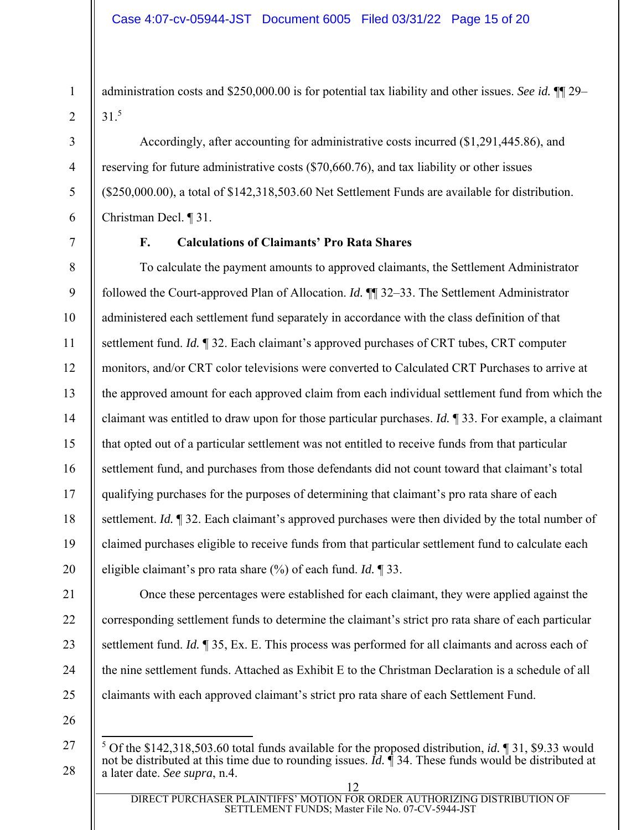administration costs and \$250,000.00 is for potential tax liability and other issues. *See id.* ¶¶ 29– 31.5

Accordingly, after accounting for administrative costs incurred (\$1,291,445.86), and reserving for future administrative costs (\$70,660.76), and tax liability or other issues (\$250,000.00), a total of \$142,318,503.60 Net Settlement Funds are available for distribution. Christman Decl. ¶ 31.

1

2

3

4

5

6

7

## **F. Calculations of Claimants' Pro Rata Shares**

8 9 10 11 12 13 14 15 16 17 18 19 20 To calculate the payment amounts to approved claimants, the Settlement Administrator followed the Court-approved Plan of Allocation. *Id.* ¶¶ 32–33. The Settlement Administrator administered each settlement fund separately in accordance with the class definition of that settlement fund. *Id.* ¶ 32. Each claimant's approved purchases of CRT tubes, CRT computer monitors, and/or CRT color televisions were converted to Calculated CRT Purchases to arrive at the approved amount for each approved claim from each individual settlement fund from which the claimant was entitled to draw upon for those particular purchases. *Id.* ¶ 33. For example, a claimant that opted out of a particular settlement was not entitled to receive funds from that particular settlement fund, and purchases from those defendants did not count toward that claimant's total qualifying purchases for the purposes of determining that claimant's pro rata share of each settlement. *Id.* ¶ 32. Each claimant's approved purchases were then divided by the total number of claimed purchases eligible to receive funds from that particular settlement fund to calculate each eligible claimant's pro rata share (%) of each fund. *Id.* ¶ 33.

> 25 26

> 27

28

Once these percentages were established for each claimant, they were applied against the

corresponding settlement funds to determine the claimant's strict pro rata share of each particular

settlement fund. *Id.* ¶ 35, Ex. E. This process was performed for all claimants and across each of

the nine settlement funds. Attached as Exhibit E to the Christman Declaration is a schedule of all

claimants with each approved claimant's strict pro rata share of each Settlement Fund.

<sup>5</sup> Of the \$142,318,503.60 total funds available for the proposed distribution, *id.* ¶ 31, \$9.33 would not be distributed at this time due to rounding issues. *Id.* ¶ 34. These funds would be distributed at a later date. *See supra*, n.4.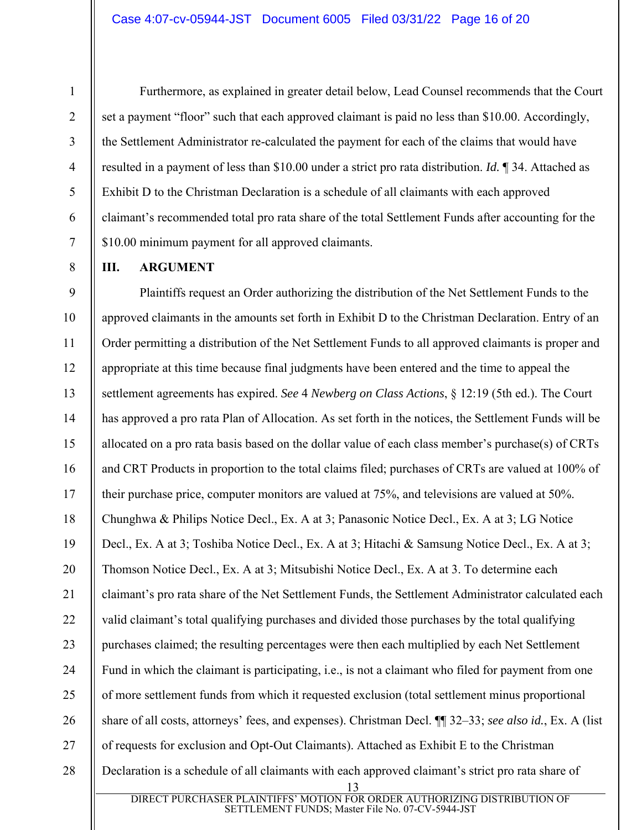Furthermore, as explained in greater detail below, Lead Counsel recommends that the Court set a payment "floor" such that each approved claimant is paid no less than \$10.00. Accordingly, the Settlement Administrator re-calculated the payment for each of the claims that would have resulted in a payment of less than \$10.00 under a strict pro rata distribution. *Id.* ¶ 34. Attached as Exhibit D to the Christman Declaration is a schedule of all claimants with each approved claimant's recommended total pro rata share of the total Settlement Funds after accounting for the \$10.00 minimum payment for all approved claimants.

**III. ARGUMENT** 

1

2

3

4

5

6

7

8

13 9 10 11 12 13 14 15 16 17 18 19 20 21 22 23 24 25 26 27 28 Plaintiffs request an Order authorizing the distribution of the Net Settlement Funds to the approved claimants in the amounts set forth in Exhibit D to the Christman Declaration. Entry of an Order permitting a distribution of the Net Settlement Funds to all approved claimants is proper and appropriate at this time because final judgments have been entered and the time to appeal the settlement agreements has expired. *See* 4 *Newberg on Class Actions*, § 12:19 (5th ed.). The Court has approved a pro rata Plan of Allocation. As set forth in the notices, the Settlement Funds will be allocated on a pro rata basis based on the dollar value of each class member's purchase(s) of CRTs and CRT Products in proportion to the total claims filed; purchases of CRTs are valued at 100% of their purchase price, computer monitors are valued at 75%, and televisions are valued at 50%. Chunghwa & Philips Notice Decl., Ex. A at 3; Panasonic Notice Decl., Ex. A at 3; LG Notice Decl., Ex. A at 3; Toshiba Notice Decl., Ex. A at 3; Hitachi & Samsung Notice Decl., Ex. A at 3; Thomson Notice Decl., Ex. A at 3; Mitsubishi Notice Decl., Ex. A at 3. To determine each claimant's pro rata share of the Net Settlement Funds, the Settlement Administrator calculated each valid claimant's total qualifying purchases and divided those purchases by the total qualifying purchases claimed; the resulting percentages were then each multiplied by each Net Settlement Fund in which the claimant is participating, i.e., is not a claimant who filed for payment from one of more settlement funds from which it requested exclusion (total settlement minus proportional share of all costs, attorneys' fees, and expenses). Christman Decl. ¶¶ 32–33; *see also id.*, Ex. A (list of requests for exclusion and Opt-Out Claimants). Attached as Exhibit E to the Christman Declaration is a schedule of all claimants with each approved claimant's strict pro rata share of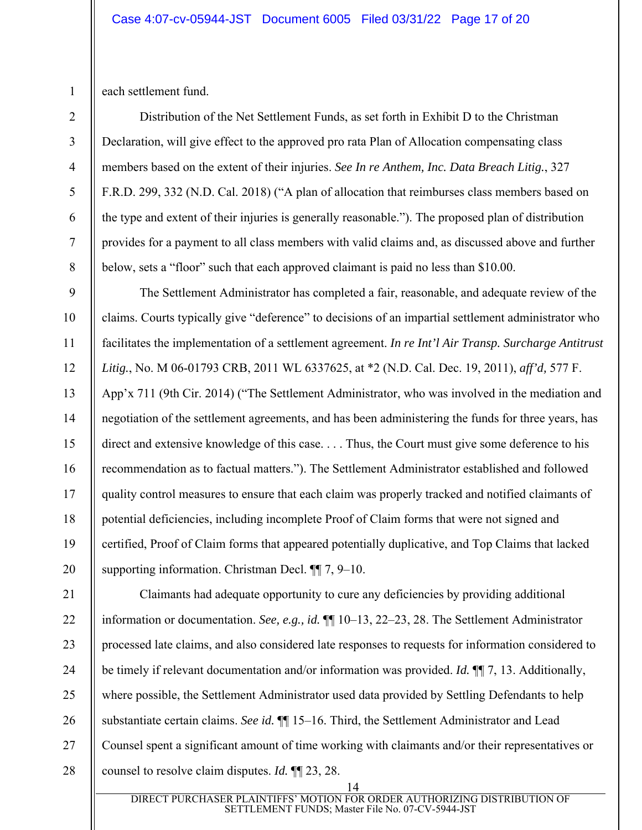each settlement fund.

1

2

3

4

5

6

7

8

9

10

11

12

13

15

16

17

18

19

20

Distribution of the Net Settlement Funds, as set forth in Exhibit D to the Christman Declaration, will give effect to the approved pro rata Plan of Allocation compensating class members based on the extent of their injuries. *See In re Anthem, Inc. Data Breach Litig.*, 327 F.R.D. 299, 332 (N.D. Cal. 2018) ("A plan of allocation that reimburses class members based on the type and extent of their injuries is generally reasonable."). The proposed plan of distribution provides for a payment to all class members with valid claims and, as discussed above and further below, sets a "floor" such that each approved claimant is paid no less than \$10.00.

14 The Settlement Administrator has completed a fair, reasonable, and adequate review of the claims. Courts typically give "deference" to decisions of an impartial settlement administrator who facilitates the implementation of a settlement agreement. *In re Int'l Air Transp. Surcharge Antitrust Litig.*, No. M 06-01793 CRB, 2011 WL 6337625, at \*2 (N.D. Cal. Dec. 19, 2011), *aff'd,* 577 F. App'x 711 (9th Cir. 2014) ("The Settlement Administrator, who was involved in the mediation and negotiation of the settlement agreements, and has been administering the funds for three years, has direct and extensive knowledge of this case. . . . Thus, the Court must give some deference to his recommendation as to factual matters."). The Settlement Administrator established and followed quality control measures to ensure that each claim was properly tracked and notified claimants of potential deficiencies, including incomplete Proof of Claim forms that were not signed and certified, Proof of Claim forms that appeared potentially duplicative, and Top Claims that lacked supporting information. Christman Decl. ¶¶ 7, 9–10.

21 22 23 24 25 26 27 28 Claimants had adequate opportunity to cure any deficiencies by providing additional information or documentation. *See, e.g., id.* ¶¶ 10–13, 22–23, 28. The Settlement Administrator processed late claims, and also considered late responses to requests for information considered to be timely if relevant documentation and/or information was provided. *Id.* ¶¶ 7, 13. Additionally, where possible, the Settlement Administrator used data provided by Settling Defendants to help substantiate certain claims. *See id.* ¶¶ 15–16. Third, the Settlement Administrator and Lead Counsel spent a significant amount of time working with claimants and/or their representatives or counsel to resolve claim disputes. *Id.* ¶¶ 23, 28.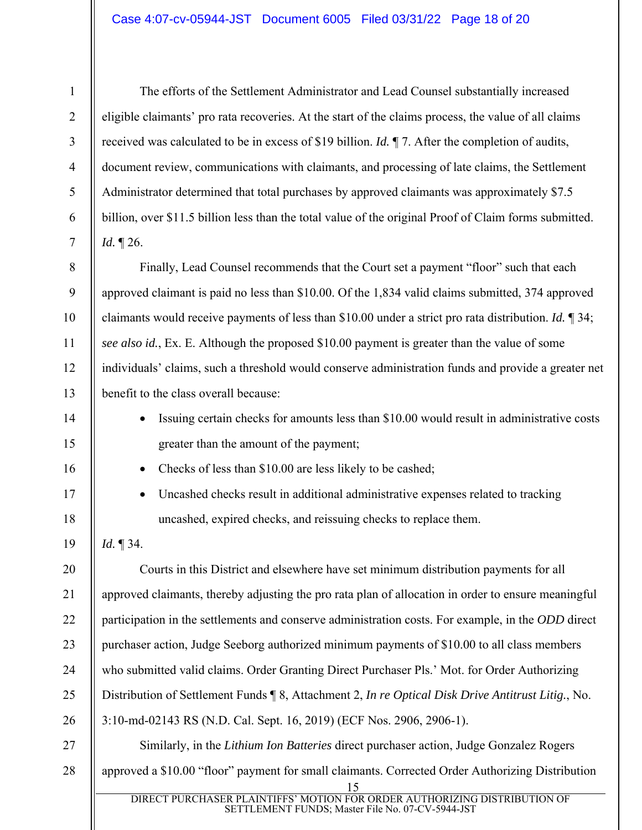The efforts of the Settlement Administrator and Lead Counsel substantially increased eligible claimants' pro rata recoveries. At the start of the claims process, the value of all claims received was calculated to be in excess of \$19 billion. *Id.* ¶ 7. After the completion of audits, document review, communications with claimants, and processing of late claims, the Settlement Administrator determined that total purchases by approved claimants was approximately \$7.5 billion, over \$11.5 billion less than the total value of the original Proof of Claim forms submitted. *Id.* ¶ 26.

Finally, Lead Counsel recommends that the Court set a payment "floor" such that each approved claimant is paid no less than \$10.00. Of the 1,834 valid claims submitted, 374 approved claimants would receive payments of less than \$10.00 under a strict pro rata distribution. *Id.* ¶ 34; *see also id.*, Ex. E. Although the proposed \$10.00 payment is greater than the value of some individuals' claims, such a threshold would conserve administration funds and provide a greater net benefit to the class overall because:

- Issuing certain checks for amounts less than \$10.00 would result in administrative costs greater than the amount of the payment;
- Checks of less than \$10.00 are less likely to be cashed;
- Uncashed checks result in additional administrative expenses related to tracking uncashed, expired checks, and reissuing checks to replace them.

*Id.* ¶ 34.

1

2

3

4

5

6

7

8

9

10

11

12

13

14

15

16

17

18

19

20 21 22 23 24 25 26 27 Courts in this District and elsewhere have set minimum distribution payments for all approved claimants, thereby adjusting the pro rata plan of allocation in order to ensure meaningful participation in the settlements and conserve administration costs. For example, in the *ODD* direct purchaser action, Judge Seeborg authorized minimum payments of \$10.00 to all class members who submitted valid claims. Order Granting Direct Purchaser Pls.' Mot. for Order Authorizing Distribution of Settlement Funds ¶ 8, Attachment 2, *In re Optical Disk Drive Antitrust Litig.*, No. 3:10-md-02143 RS (N.D. Cal. Sept. 16, 2019) (ECF Nos. 2906, 2906-1). Similarly, in the *Lithium Ion Batteries* direct purchaser action, Judge Gonzalez Rogers

#### 28 approved a \$10.00 "floor" payment for small claimants. Corrected Order Authorizing Distribution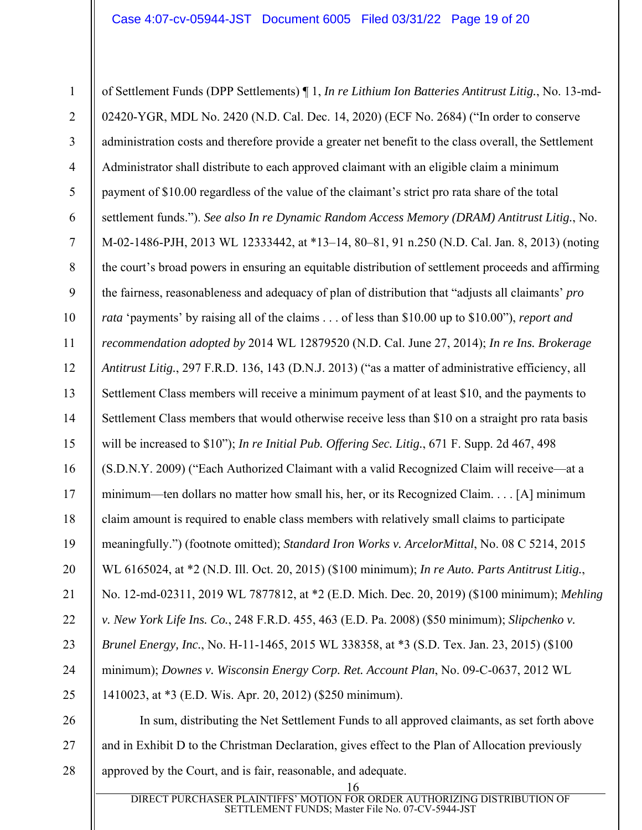1 2 3 4 5 6 7 8 9 10 11 12 13 14 15 16 17 18 19 20 21 22 23 24 25 26 of Settlement Funds (DPP Settlements) ¶ 1, *In re Lithium Ion Batteries Antitrust Litig.*, No. 13-md-02420-YGR, MDL No. 2420 (N.D. Cal. Dec. 14, 2020) (ECF No. 2684) ("In order to conserve administration costs and therefore provide a greater net benefit to the class overall, the Settlement Administrator shall distribute to each approved claimant with an eligible claim a minimum payment of \$10.00 regardless of the value of the claimant's strict pro rata share of the total settlement funds."). *See also In re Dynamic Random Access Memory (DRAM) Antitrust Litig.*, No. M-02-1486-PJH, 2013 WL 12333442, at \*13–14, 80–81, 91 n.250 (N.D. Cal. Jan. 8, 2013) (noting the court's broad powers in ensuring an equitable distribution of settlement proceeds and affirming the fairness, reasonableness and adequacy of plan of distribution that "adjusts all claimants' *pro rata* 'payments' by raising all of the claims . . . of less than \$10.00 up to \$10.00"), *report and recommendation adopted by* 2014 WL 12879520 (N.D. Cal. June 27, 2014); *In re Ins. Brokerage Antitrust Litig.*, 297 F.R.D. 136, 143 (D.N.J. 2013) ("as a matter of administrative efficiency, all Settlement Class members will receive a minimum payment of at least \$10, and the payments to Settlement Class members that would otherwise receive less than \$10 on a straight pro rata basis will be increased to \$10"); *In re Initial Pub. Offering Sec. Litig.*, 671 F. Supp. 2d 467, 498 (S.D.N.Y. 2009) ("Each Authorized Claimant with a valid Recognized Claim will receive—at a minimum—ten dollars no matter how small his, her, or its Recognized Claim. . . . [A] minimum claim amount is required to enable class members with relatively small claims to participate meaningfully.") (footnote omitted); *Standard Iron Works v. ArcelorMittal*, No. 08 C 5214, 2015 WL 6165024, at \*2 (N.D. Ill. Oct. 20, 2015) (\$100 minimum); *In re Auto. Parts Antitrust Litig.*, No. 12-md-02311, 2019 WL 7877812, at \*2 (E.D. Mich. Dec. 20, 2019) (\$100 minimum); *Mehling v. New York Life Ins. Co.*, 248 F.R.D. 455, 463 (E.D. Pa. 2008) (\$50 minimum); *Slipchenko v. Brunel Energy, Inc.*, No. H-11-1465, 2015 WL 338358, at \*3 (S.D. Tex. Jan. 23, 2015) (\$100 minimum); *Downes v. Wisconsin Energy Corp. Ret. Account Plan*, No. 09-C-0637, 2012 WL 1410023, at \*3 (E.D. Wis. Apr. 20, 2012) (\$250 minimum). In sum, distributing the Net Settlement Funds to all approved claimants, as set forth above

27 and in Exhibit D to the Christman Declaration, gives effect to the Plan of Allocation previously

28 approved by the Court, and is fair, reasonable, and adequate.